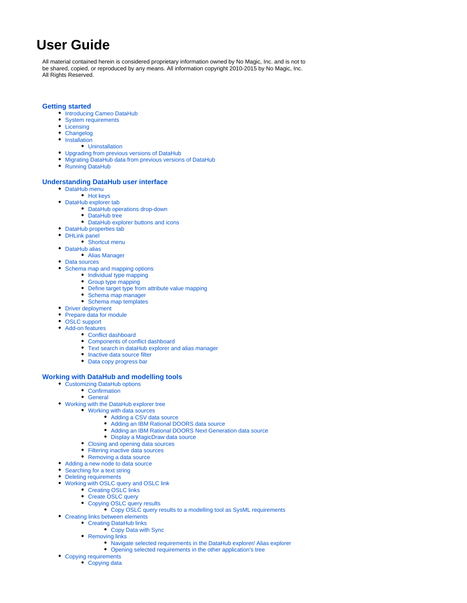# **User Guide**

All material contained herein is considered proprietary information owned by No Magic, Inc. and is not to be shared, copied, or reproduced by any means. All information copyright 2010-2015 by No Magic, Inc. All Rights Reserved.

### **[Getting started](https://docs.nomagic.com/display/CDH182/Getting+started)**

- [Introducing Cameo DataHub](https://docs.nomagic.com/display/CDH182/Introducing+Cameo+DataHub)
- [System requirements](https://docs.nomagic.com/display/CDH182/System+requirements)
- [Licensing](https://docs.nomagic.com/display/CDH182/Licensing)
- [Changelog](https://docs.nomagic.com/display/CDH182/Changelog)
- [Installation](https://docs.nomagic.com/display/CDH182/Installation)
	- [Uninstallation](https://docs.nomagic.com/display/CDH182/Uninstallation)
- [Upgrading from previous versions of DataHub](https://docs.nomagic.com/display/CDH182/Upgrading+from+previous+versions+of+DataHub)
- [Migrating DataHub data from previous versions of DataHub](https://docs.nomagic.com/display/CDH182/Migrating+DataHub+data+from+previous+versions+of+DataHub)
- [Running DataHub](https://docs.nomagic.com/display/CDH182/Running+DataHub)

#### **[Understanding DataHub user interface](https://docs.nomagic.com/display/CDH182/Understanding+DataHub+user+interface)**

- [DataHub menu](https://docs.nomagic.com/display/CDH182/DataHub+menu)
	- [Hot keys](https://docs.nomagic.com/display/CDH182/Hot+keys)
- [DataHub explorer tab](https://docs.nomagic.com/display/CDH182/DataHub+explorer+tab)
	- [DataHub operations drop-down](https://docs.nomagic.com/display/CDH182/DataHub+operations+drop-down)
	- [DataHub tree](https://docs.nomagic.com/display/CDH182/DataHub+tree)
	- [DataHub explorer buttons and icons](https://docs.nomagic.com/display/CDH182/DataHub+explorer+buttons+and+icons)
- [DataHub properties tab](https://docs.nomagic.com/display/CDH182/DataHub+properties+tab)
- [DHLink panel](https://docs.nomagic.com/display/CDH182/DHLink+panel)
	- [Shortcut menu](https://docs.nomagic.com/display/CDH182/Shortcut+menu)
- [DataHub alias](https://docs.nomagic.com/display/CDH182/DataHub+alias) [Alias Manager](https://docs.nomagic.com/display/CDH182/Alias+Manager)
- [Data sources](https://docs.nomagic.com/display/CDH182/Data+sources)
- 
- [Schema map and mapping options](https://docs.nomagic.com/display/CDH182/Schema+map+and+mapping+options)
	- [Individual type mapping](https://docs.nomagic.com/display/CDH182/Individual+type+mapping)
	- [Group type mapping](https://docs.nomagic.com/display/CDH182/Group+type+mapping)
	- [Define target type from attribute value mapping](https://docs.nomagic.com/display/CDH182/Define+target+type+from+attribute+value+mapping)
	- [Schema map manager](https://docs.nomagic.com/display/CDH182/Schema+map+manager)
	- [Schema map templates](https://docs.nomagic.com/display/CDH182/Schema+map+templates)
- [Driver deployment](https://docs.nomagic.com/display/CDH182/Driver+deployment)
- [Prepare data for module](https://docs.nomagic.com/display/CDH182/Prepare+data+for+module)
- [OSLC support](https://docs.nomagic.com/display/CDH182/OSLC+support)
- [Add-on features](https://docs.nomagic.com/display/CDH182/Add-on+features)
	- [Conflict dashboard](https://docs.nomagic.com/display/CDH182/Conflict+dashboard)
	- $\bullet$ [Components of conflict dashboard](https://docs.nomagic.com/display/CDH182/Components+of+conflict+dashboard)
	- [Text search in dataHub explorer and alias manager](https://docs.nomagic.com/display/CDH182/Text+search+in+dataHub+explorer+and+alias+manager)
	- [Inactive data source filter](https://docs.nomagic.com/display/CDH182/Inactive+data+source+filter)
	- [Data copy progress bar](https://docs.nomagic.com/display/CDH182/Data+copy+progress+bar)

### **[Working with DataHub and modelling tools](https://docs.nomagic.com/display/CDH182/Working+with+DataHub+and+modelling+tools)**

- [Customizing DataHub options](https://docs.nomagic.com/display/CDH182/Customizing+DataHub+options)
	- [Confirmation](https://docs.nomagic.com/display/CDH182/Confirmation)
	- [General](https://docs.nomagic.com/display/CDH182/General)
- [Working with the DataHub explorer tree](https://docs.nomagic.com/display/CDH182/Working+with+the+DataHub+explorer+tree)
	- [Working with data sources](https://docs.nomagic.com/display/CDH182/Working+with+data+sources)
		- [Adding a CSV data source](https://docs.nomagic.com/display/CDH182/Adding+a+CSV+data+source)
		- [Adding an IBM Rational DOORS data source](https://docs.nomagic.com/display/CDH182/Adding+an+IBM+Rational+DOORS+data+source)
		- $\bullet$ [Adding an IBM Rational DOORS Next Generation data source](https://docs.nomagic.com/display/CDH182/Adding+an+IBM+Rational+DOORS+Next+Generation+data+source)
		- [Display a MagicDraw data source](https://docs.nomagic.com/display/CDH182/Display+a+MagicDraw+data+source)
	- [Closing and opening data sources](https://docs.nomagic.com/display/CDH182/Closing+and+opening+data+sources)
	- [Filtering inactive data sources](https://docs.nomagic.com/display/CDH182/Filtering+inactive+data+sources)
	- [Removing a data source](https://docs.nomagic.com/display/CDH182/Removing+a+data+source)
- [Adding a new node to data source](https://docs.nomagic.com/display/CDH182/Adding+a+new+node+to+data+source)
- [Searching for a text string](https://docs.nomagic.com/display/CDH182/Searching+for+a+text+string)
- [Deleting requirements](https://docs.nomagic.com/display/CDH182/Deleting+requirements)
- [Working with OSLC query and OSLC link](https://docs.nomagic.com/display/CDH182/Working+with+OSLC+query+and+OSLC+link)
	- [Creating OSLC links](https://docs.nomagic.com/display/CDH182/Creating+OSLC+links)
		- [Create OSLC query](https://docs.nomagic.com/display/CDH182/Create+OSLC+query)
		- [Copying OSLC query results](https://docs.nomagic.com/display/CDH182/Copying+OSLC+query+results)
			- [Copy OSLC query results to a modelling tool as SysML requirements](https://docs.nomagic.com/display/CDH182/Copy+OSLC+query+results+to+a+modelling+tool+as+SysML+requirements)
- [Creating links between elements](https://docs.nomagic.com/display/CDH182/Creating+links+between+elements)
	- [Creating DataHub links](https://docs.nomagic.com/display/CDH182/Creating+DataHub+links)
		- [Copy Data with Sync](https://docs.nomagic.com/display/CDH182/Copy+Data+with+Sync)
		- [Removing links](https://docs.nomagic.com/display/CDH182/Removing+links)
			- [Navigate selected requirements in the DataHub explorer/ Alias explorer](https://docs.nomagic.com/pages/viewpage.action?pageId=4499878)
			- [Opening selected requirements in the other application's tree](https://docs.nomagic.com/display/CDH182/Opening+selected+requirements+in+the+other+application%27s+tree)
- [Copying requirements](https://docs.nomagic.com/display/CDH182/Copying+requirements)
	- [Copying data](https://docs.nomagic.com/display/CDH182/Copying+data)